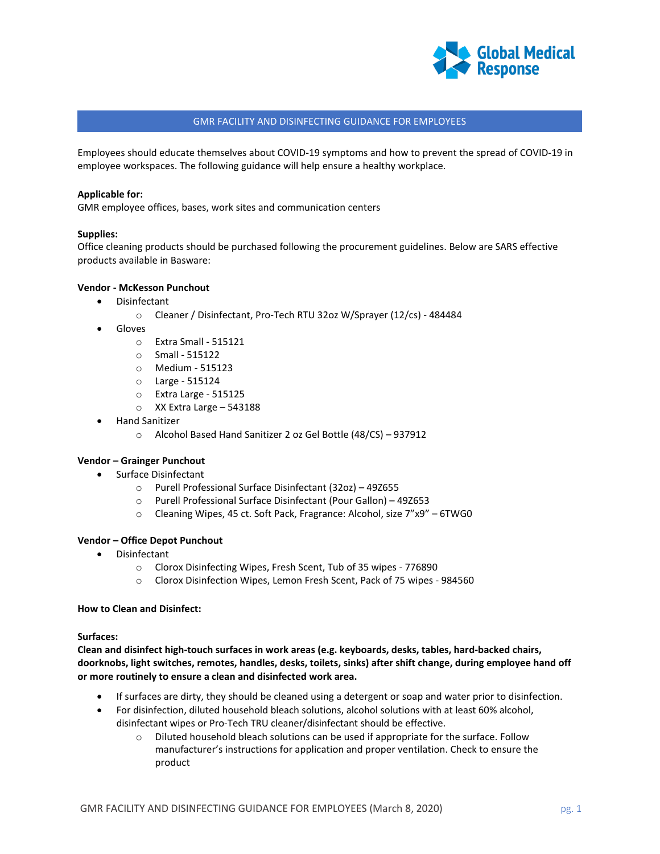

# GMR FACILITY AND DISINFECTING GUIDANCE FOR EMPLOYEES

Employees should educate themselves about COVID-19 symptoms and how to prevent the spread of COVID-19 in employee workspaces. The following guidance will help ensure a healthy workplace.

### **Applicable for:**

GMR employee offices, bases, work sites and communication centers

## **Supplies:**

Office cleaning products should be purchased following the procurement guidelines. Below are SARS effective products available in Basware:

## **Vendor - McKesson Punchout**

- Disinfectant
	- o Cleaner / Disinfectant, Pro-Tech RTU 32oz W/Sprayer (12/cs) 484484
- Gloves
	- o Extra Small 515121
	- o Small 515122
	- o Medium 515123
	- o Large 515124
	- o Extra Large 515125
	- o XX Extra Large 543188
- Hand Sanitizer
	- o Alcohol Based Hand Sanitizer 2 oz Gel Bottle (48/CS) 937912

# **Vendor – Grainger Punchout**

- Surface Disinfectant
	- o Purell Professional Surface Disinfectant (32oz) 49Z655
	- o Purell Professional Surface Disinfectant (Pour Gallon) 49Z653
	- o Cleaning Wipes, 45 ct. Soft Pack, Fragrance: Alcohol, size 7"x9" 6TWG0

### **Vendor – Office Depot Punchout**

- Disinfectant
	- o Clorox Disinfecting Wipes, Fresh Scent, Tub of 35 wipes 776890
	- o Clorox Disinfection Wipes, Lemon Fresh Scent, Pack of 75 wipes 984560

### **How to Clean and Disinfect:**

### **Surfaces:**

**Clean and disinfect high-touch surfaces in work areas (e.g. keyboards, desks, tables, hard-backed chairs, doorknobs, light switches, remotes, handles, desks, toilets, sinks) after shift change, during employee hand off or more routinely to ensure a clean and disinfected work area.**

- If surfaces are dirty, they should be cleaned using a detergent or soap and water prior to disinfection.
- For disinfection, diluted household bleach solutions, alcohol solutions with at least 60% alcohol, disinfectant wipes or Pro-Tech TRU cleaner/disinfectant should be effective.
	- $\circ$  Diluted household bleach solutions can be used if appropriate for the surface. Follow manufacturer's instructions for application and proper ventilation. Check to ensure the product